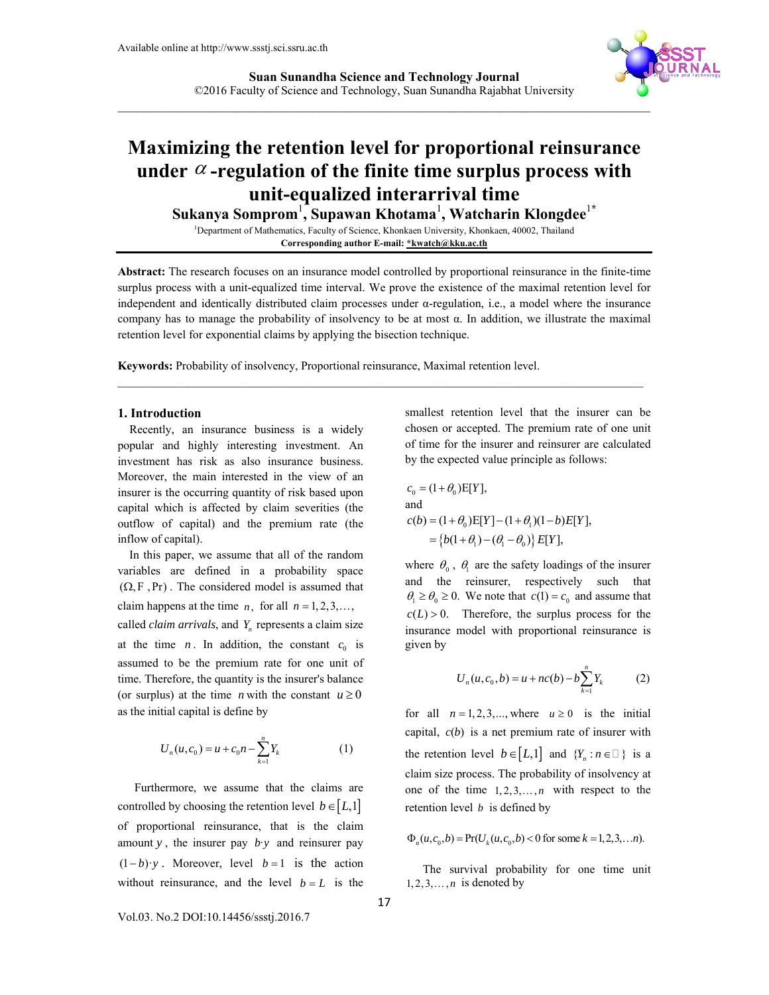

**Suan Sunandha Science and Technology Journal**  ©2016 Faculty of Science and Technology, Suan Sunandha Rajabhat University

# **Maximizing the retention level for proportional reinsurance**  under  $\alpha$ -regulation of the finite time surplus process with **unit-equalized interarrival time**

**Sukanya Somprom**<sup>1</sup> **, Supawan Khotama**<sup>1</sup> **, Watcharin Klongdee**<sup>1</sup>**\***

<sup>1</sup>Department of Mathematics, Faculty of Science, Khonkaen University, Khonkaen, 40002, Thailand **Corresponding author E-mail: \*kwatch@kku.ac.th** 

**Abstract:** The research focuses on an insurance model controlled by proportional reinsurance in the finite-time surplus process with a unit-equalized time interval. We prove the existence of the maximal retention level for independent and identically distributed claim processes under α-regulation, i.e., a model where the insurance company has to manage the probability of insolvency to be at most  $\alpha$ . In addition, we illustrate the maximal retention level for exponential claims by applying the bisection technique.

**Keywords:** Probability of insolvency, Proportional reinsurance, Maximal retention level.

## **1. Introduction**

 Recently, an insurance business is a widely popular and highly interesting investment. An investment has risk as also insurance business. Moreover, the main interested in the view of an insurer is the occurring quantity of risk based upon capital which is affected by claim severities (the outflow of capital) and the premium rate (the inflow of capital).

 In this paper, we assume that all of the random variables are defined in a probability space  $(Q, F, Pr)$ . The considered model is assumed that claim happens at the time  $n$ , for all  $n = 1, 2, 3, \ldots$ , called *claim arrivals*, and *Y<sub>n</sub>* represents a claim size at the time *n*. In addition, the constant  $c_0$  is assumed to be the premium rate for one unit of time. Therefore, the quantity is the insurer's balance (or surplus) at the time *n* with the constant  $u \ge 0$ as the initial capital is define by

$$
U_n(u, c_0) = u + c_0 n - \sum_{k=1}^n Y_k
$$
 (1)

Furthermore, we assume that the claims are controlled by choosing the retention level  $b \in [L,1]$ of proportional reinsurance, that is the claim amount *y*, the insurer pay *b y* and reinsurer pay  $(1-b)y$ . Moreover, level  $b=1$  is the action without reinsurance, and the level  $b = L$  is the

smallest retention level that the insurer can be chosen or accepted. The premium rate of one unit of time for the insurer and reinsurer are calculated by the expected value principle as follows:

$$
c_0 = (1 + \theta_0) E[Y],
$$
  
and  

$$
c(b) = (1 + \theta_0) E[Y] - (1 + \theta_1)(1 - b)E[Y],
$$

$$
= \{b(1 + \theta_1) - (\theta_1 - \theta_0)\} E[Y],
$$

where  $\theta_0$ ,  $\theta_1$  are the safety loadings of the insurer and the reinsurer, respectively such that  $\theta_1 \ge \theta_0 \ge 0$ . We note that  $c(1) = c_0$  and assume that  $c(L) > 0$ . Therefore, the surplus process for the insurance model with proportional reinsurance is given by

$$
U_n(u, c_0, b) = u + nc(b) - b \sum_{k=1}^n Y_k
$$
 (2)

for all  $n = 1, 2, 3, \dots$ , where  $u \ge 0$  is the initial capital,  $c(b)$  is a net premium rate of insurer with the retention level  $b \in [L,1]$  and  $\{Y_n : n \in \square\}$  is a claim size process. The probability of insolvency at one of the time  $1, 2, 3, \ldots, n$  with respect to the retention level *b* is defined by

 $\Phi_n(u, c_0, b) = \Pr(U_k(u, c_0, b) < 0$  for some  $k = 1, 2, 3, \dots n$ .

 The survival probability for one time unit  $1, 2, 3, \ldots, n$  is denoted by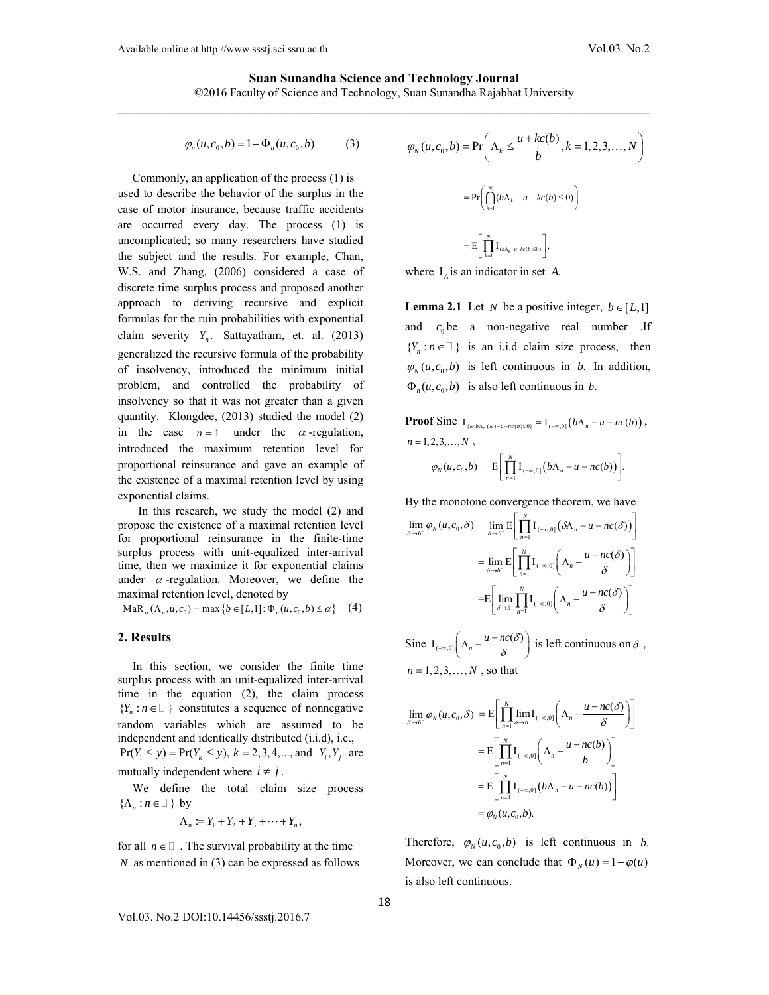#### **Suan Sunandha Science and Technology Journal**  ©2016 Faculty of Science and Technology, Suan Sunandha Rajabhat University

$$
\varphi_n(u, c_0, b) = 1 - \Phi_n(u, c_0, b) \tag{3}
$$

 Commonly, an application of the process (1) is used to describe the behavior of the surplus in the case of motor insurance, because traffic accidents are occurred every day. The process (1) is uncomplicated; so many researchers have studied the subject and the results. For example, Chan, W.S. and Zhang, (2006) considered a case of discrete time surplus process and proposed another approach to deriving recursive and explicit formulas for the ruin probabilities with exponential claim severity Y<sub>n</sub>. Sattayatham, et. al. (2013) generalized the recursive formula of the probability of insolvency, introduced the minimum initial problem, and controlled the probability of insolvency so that it was not greater than a given quantity. Klongdee, (2013) studied the model (2) in the case  $n = 1$  under the  $\alpha$ -regulation, introduced the maximum retention level for proportional reinsurance and gave an example of the existence of a maximal retention level by using exponential claims.

 In this research, we study the model (2) and propose the existence of a maximal retention level for proportional reinsurance in the finite-time surplus process with unit-equalized inter-arrival time, then we maximize it for exponential claims under  $\alpha$ -regulation. Moreover, we define the maximal retention level, denoted by

$$
\operatorname{MaR}_{\alpha}(\Lambda_n, u, c_0) = \max \{ b \in [L, 1] : \Phi_n(u, c_0, b) \le \alpha \}
$$
 (4)

#### **2. Results**

 In this section, we consider the finite time surplus process with an unit-equalized inter-arrival time in the equation (2), the claim process  ${Y_n : n \in \square }$  constitutes a sequence of nonnegative random variables which are assumed to be independent and identically distributed (i.i.d), i.e.,

 $Pr(Y_1 \le y) = Pr(Y_k \le y), k = 2, 3, 4, ...,$  and  $Y_i, Y_j$  are mutually independent where  $i \neq j$ .

 We define the total claim size process  $\{\Lambda_n : n \in \square\}$  by

$$
\Lambda_n := Y_1 + Y_2 + Y_3 + \cdots + Y_n,
$$

for all  $n \in \mathbb{Z}$ . The survival probability at the time *N* as mentioned in (3) can be expressed as follows

$$
\varphi_N(u, c_0, b) = \Pr\left(\Lambda_k \le \frac{u + kc(b)}{b}, k = 1, 2, 3, ..., N\right)
$$

$$
= \Pr\left(\bigcap_{k=1}^N (b\Lambda_k - u - kc(b) \le 0)\right)
$$

$$
= \mathbb{E}\left[\prod_{k=1}^N \mathbb{I}_{(b\Lambda_k - u - kc(b) \le 0)}\right],
$$

where  $I_A$  is an indicator in set *A*.

**Lemma 2.1** Let *N* be a positive integer,  $b \in [L,1]$ and  $c_0$  be a non-negative real number .If  ${Y_n : n \in \square }$  is an i.i.d claim size process, then  $\varphi_N(u, c_0, b)$  is left continuous in *b*. In addition,  $\Phi_n(u, c_0, b)$  is also left continuous in *b*.

**Proof** Sine  $I_{\{\omega : b \Lambda_n(\omega) - u - nc(b) \le 0\}} = I_{(-\infty,0]}(b \Lambda_n - u - nc(b)),$  $n = 1, 2, 3, \ldots, N$ ,  $(u, c_0, b) = E \left[ \prod_{n=1}^{N} I_{(-\infty, 0]} \left( b \Lambda_n - u - nc(b) \right) \right].$  $\varphi_N(u, c_0, b) = \mathbb{E} \left[ \prod_{n=1}^N I_{(-\infty, 0]} \big( b \Lambda_n - u - nc(b) \big) \right]$ 

By the monotone convergence theorem, we have

$$
\lim_{\delta \to b^{-}} \varphi_{N}(u, c_{0}, \delta) = \lim_{\delta \to b^{-}} E \left[ \prod_{n=1}^{N} I_{(-\infty, 0]} \left( \delta \Lambda_{n} - u - nc(\delta) \right) \right]
$$

$$
= \lim_{\delta \to b^{-}} E \left[ \prod_{n=1}^{N} I_{(-\infty, 0]} \left( \Lambda_{n} - \frac{u - nc(\delta)}{\delta} \right) \right]
$$

$$
= E \left[ \lim_{\delta \to b^{-}} \prod_{n=1}^{N} I_{(-\infty, 0]} \left( \Lambda_{n} - \frac{u - nc(\delta)}{\delta} \right) \right]
$$

Sine  $I_{(-\infty,0]}$   $\bigg(\Lambda_n - \frac{u - nc(\delta)}{s}\bigg)$  $I_{(-\infty,0]}$  $\left(\Lambda_n - \frac{u - nc(\delta)}{\delta}\right)$  is left continuous on  $\delta$ ,  $n = 1, 2, 3, ..., N$ , so that

$$
\lim_{\delta \to b^{-}} \varphi_{N}(u, c_{0}, \delta) = \mathbb{E} \bigg[ \prod_{n=1}^{N} \lim_{\delta \to b^{-}} I_{(-\infty, 0)} \bigg( \Lambda_{n} - \frac{u - nc(\delta)}{\delta} \bigg) \bigg]
$$
\n
$$
= \mathbb{E} \bigg[ \prod_{n=1}^{N} I_{(-\infty, 0)} \bigg( \Lambda_{n} - \frac{u - nc(b)}{b} \bigg) \bigg]
$$
\n
$$
= \mathbb{E} \bigg[ \prod_{n=1}^{N} I_{(-\infty, 0)} \bigg( b\Lambda_{n} - u - nc(b) \bigg) \bigg]
$$
\n
$$
= \varphi_{N}(u, c_{0}, b).
$$

Therefore,  $\varphi_N(u, c_0, b)$  is left continuous in *b*. Moreover, we can conclude that  $\Phi_{N}(u) = 1 - \varphi(u)$ is also left continuous.

Vol.03. No.2 DOI:10.14456/ssstj.2016.7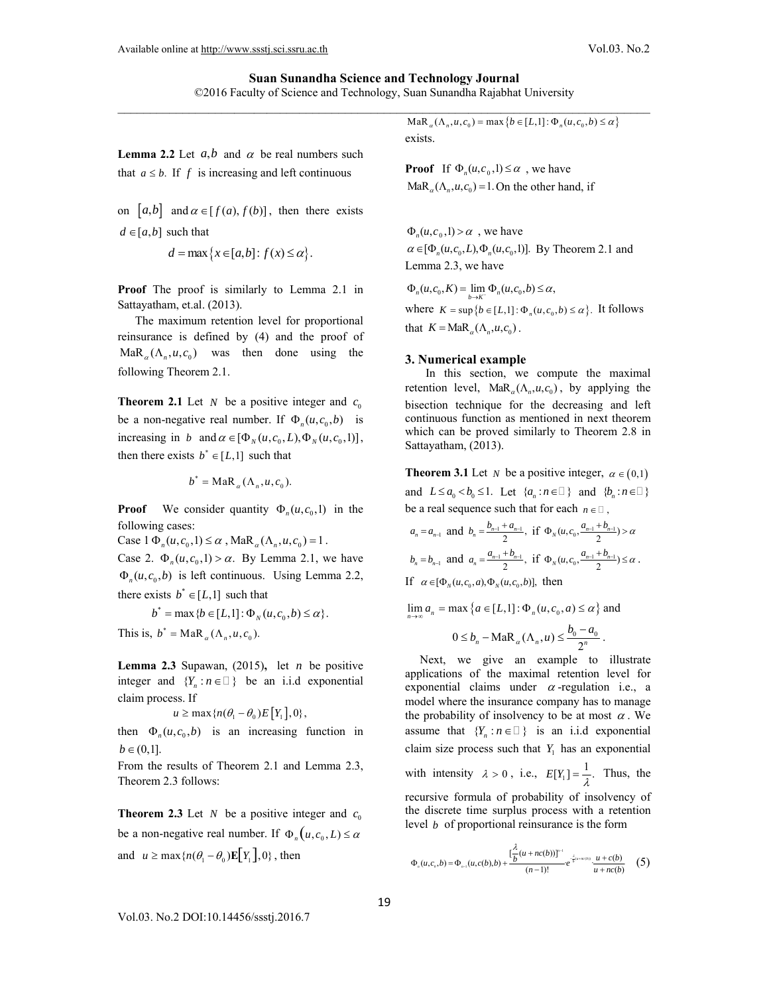## **Suan Sunandha Science and Technology Journal**

©2016 Faculty of Science and Technology, Suan Sunandha Rajabhat University

**Lemma 2.2** Let  $a, b$  and  $\alpha$  be real numbers such that  $a \leq b$ . If f is increasing and left continuous

on  $|a,b|$  and  $\alpha \in [f(a), f(b)]$ , then there exists  $d \in [a,b]$  such that

$$
d = \max\{x \in [a,b] : f(x) \le \alpha\}.
$$

**Proof** The proof is similarly to Lemma 2.1 in Sattayatham, et.al. (2013).

 The maximum retention level for proportional reinsurance is defined by (4) and the proof of  $\text{MaR}_{\alpha}(\Lambda_n, u, c_0)$  was then done using the following Theorem 2.1.

**Theorem 2.1** Let *N* be a positive integer and  $c_0$ be a non-negative real number. If  $\Phi_n(u, c_0, b)$  is increasing in *b* and  $\alpha \in [\Phi_{N}(u, c_{0}, L), \Phi_{N}(u, c_{0}, 1)],$ then there exists  $b^* \in [L,1]$  such that

 $b^* = \text{MaR}_{\alpha}(\Lambda_{\alpha}, u, c_0).$ 

**Proof** We consider quantity  $\Phi_n(u, c_0, 1)$  in the following cases:

Case  $1 \Phi_n(u, c_0, 1) \leq \alpha$ , MaR<sub> $\alpha$ </sub>( $\Lambda_n, u, c_0$ ) = 1.

Case 2.  $\Phi_n(u, c_0, 1) > \alpha$ . By Lemma 2.1, we have  $\Phi_{n}(u, c_{0}, b)$  is left continuous. Using Lemma 2.2, there exists  $b^* \in [L,1]$  such that

$$
b^* = \max \{b \in [L,1]: \Phi_N(u, c_0, b) \le \alpha\}.
$$

This is,  $b^* = \text{MaR}_{\alpha}(\Lambda_n, u, c_0)$ .

**Lemma 2.3** Supawan, (2015)**,** let *n* be positive integer and  ${Y_n : n \in \square}$  be an i.i.d exponential claim process. If

 $u \geq \max\{n(\theta_1 - \theta_0)E[Y_1], 0\},\$ 

then  $\Phi_n(u, c_0, b)$  is an increasing function in  $b \in (0,1].$ 

From the results of Theorem 2.1 and Lemma 2.3, Theorem 2.3 follows:

**Theorem 2.3** Let *N* be a positive integer and  $c_0$ be a non-negative real number. If  $\Phi_n(u, c_0, L) \le \alpha$ and  $u \ge \max\{n(\theta_1 - \theta_0)\mathbf{E}[Y_1], 0\}$ , then

 $\text{MaR}_{\alpha}(\Lambda_n, u, c_0) = \max \{b \in [L, 1] : \Phi_n(u, c_0, b) \leq \alpha\}$ exists.

**Proof** If  $\Phi_n(u, c_0, 1) \leq \alpha$ , we have  $\text{MaR}_{\alpha}(\Lambda_n, u, c_0) = 1$ . On the other hand, if

 $\Phi_{n}(u, c_{0}, 1) > \alpha$ , we have

 $\alpha \in [\Phi_n(u, c_0, L), \Phi_n(u, c_0, 1)]$ . By Theorem 2.1 and Lemma 2.3, we have

 $\Phi_n(u, c_0, K) = \lim_{b \to K^-} \Phi_n(u, c_0, b) \leq \alpha,$ where  $K = \sup \{ b \in [L,1] : \Phi_n(u, c_0, b) \le \alpha \}.$  It follows that  $K = \text{MaR}_{\alpha}(\Lambda_{\alpha}, u, c_{0})$ .

#### **3. Numerical example**

 In this section, we compute the maximal retention level,  $\text{MaR}_{a}(\Lambda_n, u, c_0)$ , by applying the bisection technique for the decreasing and left continuous function as mentioned in next theorem which can be proved similarly to Theorem 2.8 in Sattayatham, (2013).

**Theorem 3.1** Let *N* be a positive integer,  $\alpha \in (0,1)$ and  $L \le a_0 < b_0 \le 1$ . Let  $\{a_n : n \in \Box\}$  and  $\{b_n : n \in \Box\}$ be a real sequence such that for each  $n \in \mathbb{Z}$ ,

$$
a_n = a_{n-1} \text{ and } b_n = \frac{b_{n-1} + a_{n-1}}{2}, \text{ if } \Phi_N(u, c_0, \frac{a_{n-1} + b_{n-1}}{2}) > \alpha
$$
  

$$
b_n = b_{n-1} \text{ and } a_n = \frac{a_{n-1} + b_{n-1}}{2}, \text{ if } \Phi_N(u, c_0, \frac{a_{n-1} + b_{n-1}}{2}) \le \alpha.
$$
  
If  $\alpha \in [\Phi_N(u, c_0, a), \Phi_N(u, c_0, b)], \text{ then}$ 

 $\lim_{n\to\infty} a_n = \max\left\{a \in [L,1]: \Phi_n(u, c_0, a) \leq \alpha\right\}$  and

$$
0 \le b_n - \mathrm{MaR}_{\alpha}(\Lambda_n, u) \le \frac{b_0 - a_0}{2^n}.
$$

 Next, we give an example to illustrate applications of the maximal retention level for exponential claims under  $\alpha$ -regulation i.e., a model where the insurance company has to manage the probability of insolvency to be at most  $\alpha$ . We assume that  $\{Y_n : n \in \square\}$  is an i.i.d exponential claim size process such that  $Y_1$  has an exponential with intensity  $\lambda > 0$ , i.e.,  $E[Y_1] = \frac{1}{\lambda}$ . Thus, the recursive formula of probability of insolvency of the discrete time surplus process with a retention level *b* of proportional reinsurance is the form

$$
\Phi_*(u,c_0,b) = \Phi_{_{n-1}}(u,c(b),b) + \frac{[\frac{\lambda}{b}(u+nc(b))]^{^{n+1}}}{(n-1)!}e^{\frac{\lambda}{b}(u+nc(b))}\frac{u+c(b)}{u+nc(b)} \quad \text{(5)}
$$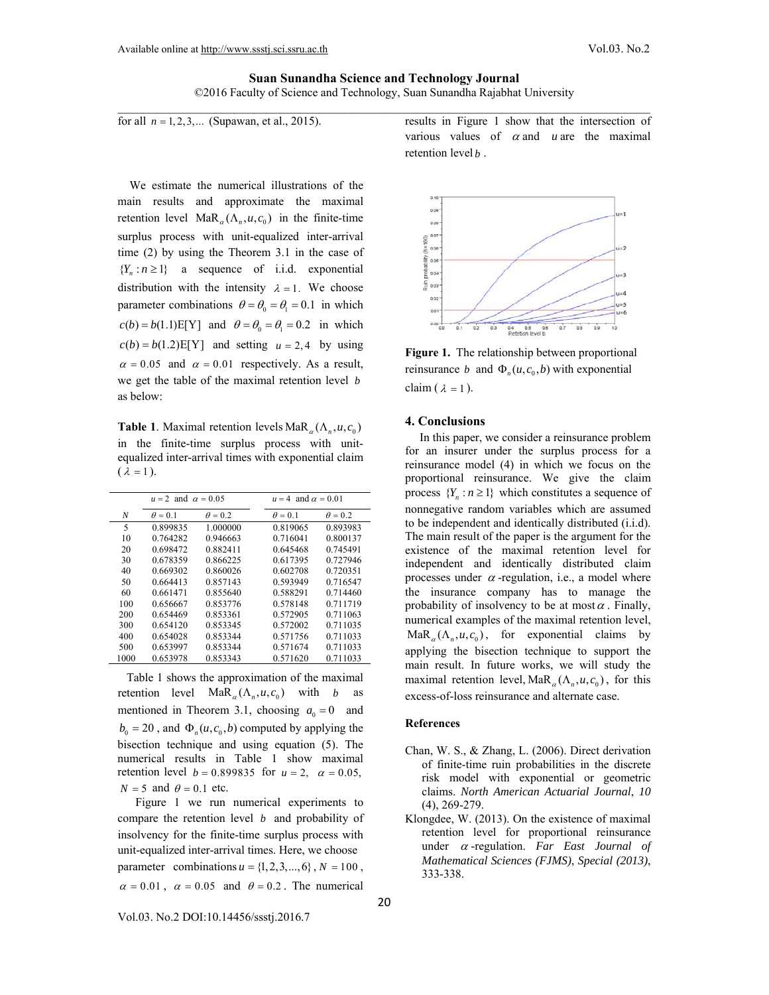## **Suan Sunandha Science and Technology Journal**  ©2016 Faculty of Science and Technology, Suan Sunandha Rajabhat University

for all  $n = 1, 2, 3, ...$  (Supawan, et al., 2015).

 We estimate the numerical illustrations of the main results and approximate the maximal retention level MaR<sub>a</sub> $(\Lambda_n, u, c_0)$  in the finite-time surplus process with unit-equalized inter-arrival time (2) by using the Theorem 3.1 in the case of  ${Y_n : n \ge 1}$  a sequence of i.i.d. exponential distribution with the intensity  $\lambda = 1$ . We choose parameter combinations  $\theta = \theta_0 = \theta_1 = 0.1$  in which  $c(b) = b(1.1)E[Y]$  and  $\theta = \theta_0 = \theta_1 = 0.2$  in which  $c(b) = b(1.2)E[Y]$  and setting  $u = 2, 4$  by using  $\alpha = 0.05$  and  $\alpha = 0.01$  respectively. As a result, we get the table of the maximal retention level *b* as below:

**Table 1**. Maximal retention levels MaR<sub>*a*</sub>  $(\Lambda_n, u, c_0)$ in the finite-time surplus process with unitequalized inter-arrival times with exponential claim  $(\lambda = 1).$ 

|      | $u = 2$ and $\alpha = 0.05$ |                | $u = 4$ and $\alpha = 0.01$ |                |
|------|-----------------------------|----------------|-----------------------------|----------------|
| N    | $\theta = 0.1$              | $\theta = 0.2$ | $\theta = 0.1$              | $\theta = 0.2$ |
| 5    | 0.899835                    | 1.000000       | 0.819065                    | 0.893983       |
| 10   | 0.764282                    | 0.946663       | 0.716041                    | 0.800137       |
| 20   | 0.698472                    | 0.882411       | 0.645468                    | 0.745491       |
| 30   | 0.678359                    | 0.866225       | 0.617395                    | 0.727946       |
| 40   | 0.669302                    | 0.860026       | 0.602708                    | 0.720351       |
| 50   | 0.664413                    | 0.857143       | 0.593949                    | 0.716547       |
| 60   | 0.661471                    | 0.855640       | 0.588291                    | 0.714460       |
| 100  | 0.656667                    | 0.853776       | 0.578148                    | 0.711719       |
| 200  | 0.654469                    | 0.853361       | 0.572905                    | 0.711063       |
| 300  | 0.654120                    | 0.853345       | 0.572002                    | 0.711035       |
| 400  | 0.654028                    | 0.853344       | 0.571756                    | 0.711033       |
| 500  | 0.653997                    | 0.853344       | 0.571674                    | 0.711033       |
| 1000 | 0.653978                    | 0.853343       | 0.571620                    | 0.711033       |

 Table 1 shows the approximation of the maximal retention level MaR<sub>a</sub> $(\Lambda_a, u, c_0)$  with *b* as mentioned in Theorem 3.1, choosing  $a_0 = 0$  and  $b_0 = 20$ , and  $\Phi_n(u, c_0, b)$  computed by applying the bisection technique and using equation (5). The numerical results in Table 1 show maximal retention level  $b = 0.899835$  for  $u = 2$ ,  $\alpha = 0.05$ ,  $N = 5$  and  $\theta = 0.1$  etc.

 Figure 1 we run numerical experiments to compare the retention level *b* and probability of insolvency for the finite-time surplus process with unit-equalized inter-arrival times. Here, we choose parameter combinations  $u = \{1, 2, 3, ..., 6\}$ ,  $N = 100$ ,  $\alpha = 0.01$ ,  $\alpha = 0.05$  and  $\theta = 0.2$ . The numerical

results in Figure 1 show that the intersection of various values of  $\alpha$  and  $u$  are the maximal retention level *b* .



**Figure 1.** The relationship between proportional reinsurance *b* and  $\Phi_n(u, c_0, b)$  with exponential claim ( $\lambda = 1$ ).

#### **4. Conclusions**

 In this paper, we consider a reinsurance problem for an insurer under the surplus process for a reinsurance model (4) in which we focus on the proportional reinsurance. We give the claim process  $\{Y : n \geq 1\}$  which constitutes a sequence of nonnegative random variables which are assumed to be independent and identically distributed (i.i.d). The main result of the paper is the argument for the existence of the maximal retention level for independent and identically distributed claim processes under  $\alpha$ -regulation, i.e., a model where the insurance company has to manage the probability of insolvency to be at most  $\alpha$ . Finally, numerical examples of the maximal retention level,  $\text{MaR}_a(\Lambda_n, u, c_0)$ , for exponential claims by applying the bisection technique to support the main result. In future works, we will study the maximal retention level,  $\text{MaR}_{\alpha}(\Lambda_n, u, c_0)$ , for this excess-of-loss reinsurance and alternate case.

### **References**

- Chan, W. S., & Zhang, L. (2006). Direct derivation of finite-time ruin probabilities in the discrete risk model with exponential or geometric claims. *North American Actuarial Journal*, *10* (4), 269-279.
- Klongdee, W. (2013). On the existence of maximal retention level for proportional reinsurance under  $\alpha$ -regulation. Far East Journal of *Mathematical Sciences (FJMS)*, *Special (2013)*, 333-338.